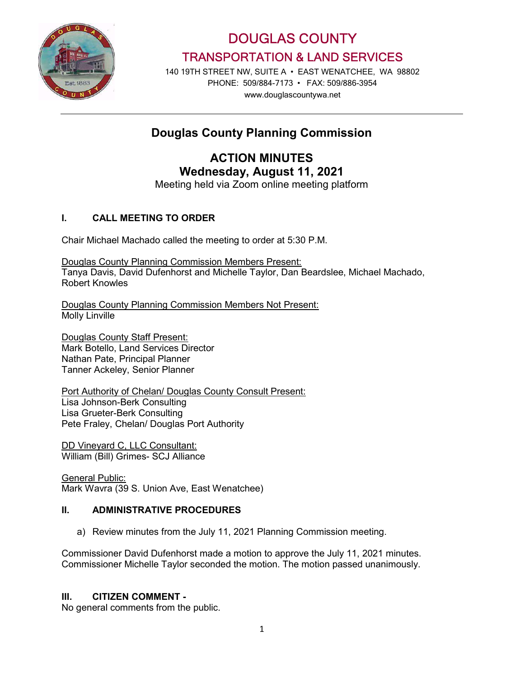

DOUGLAS COUNTY TRANSPORTATION & LAND SERVICES

140 19TH STREET NW, SUITE A • EAST WENATCHEE, WA 98802 PHONE: 509/884-7173 • FAX: 509/886-3954 www.douglascountywa.net

## Douglas County Planning Commission

# ACTION MINUTES Wednesday, August 11, 2021

Meeting held via Zoom online meeting platform

## I. CALL MEETING TO ORDER

Chair Michael Machado called the meeting to order at 5:30 P.M.

Douglas County Planning Commission Members Present: Tanya Davis, David Dufenhorst and Michelle Taylor, Dan Beardslee, Michael Machado, Robert Knowles

Douglas County Planning Commission Members Not Present: Molly Linville

Douglas County Staff Present: Mark Botello, Land Services Director Nathan Pate, Principal Planner Tanner Ackeley, Senior Planner

Port Authority of Chelan/ Douglas County Consult Present: Lisa Johnson-Berk Consulting Lisa Grueter-Berk Consulting Pete Fraley, Chelan/ Douglas Port Authority

DD Vineyard C, LLC Consultant: William (Bill) Grimes- SCJ Alliance

**General Public:** Mark Wavra (39 S. Union Ave, East Wenatchee)

#### II. ADMINISTRATIVE PROCEDURES

a) Review minutes from the July 11, 2021 Planning Commission meeting.

Commissioner David Dufenhorst made a motion to approve the July 11, 2021 minutes. Commissioner Michelle Taylor seconded the motion. The motion passed unanimously.

#### III. CITIZEN COMMENT -

No general comments from the public.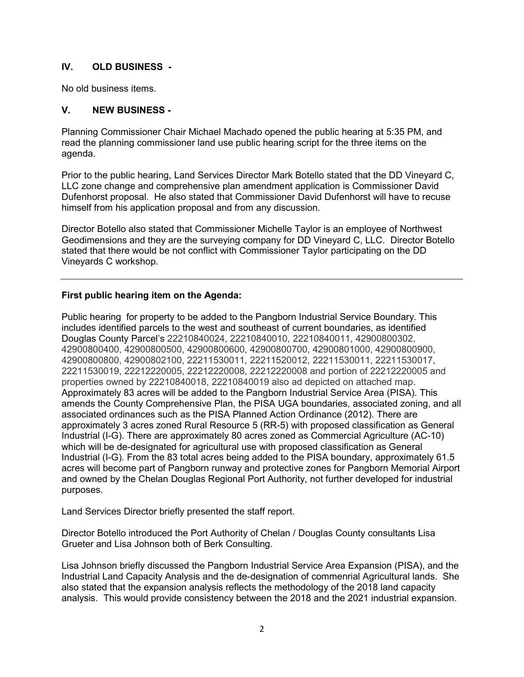### IV. OLD BUSINESS -

No old business items.

#### V. NEW BUSINESS -

Planning Commissioner Chair Michael Machado opened the public hearing at 5:35 PM, and read the planning commissioner land use public hearing script for the three items on the agenda.

Prior to the public hearing, Land Services Director Mark Botello stated that the DD Vineyard C, LLC zone change and comprehensive plan amendment application is Commissioner David Dufenhorst proposal. He also stated that Commissioner David Dufenhorst will have to recuse himself from his application proposal and from any discussion.

Director Botello also stated that Commissioner Michelle Taylor is an employee of Northwest Geodimensions and they are the surveying company for DD Vineyard C, LLC. Director Botello stated that there would be not conflict with Commissioner Taylor participating on the DD Vineyards C workshop.

### First public hearing item on the Agenda:

Public hearing for property to be added to the Pangborn Industrial Service Boundary. This includes identified parcels to the west and southeast of current boundaries, as identified Douglas County Parcel's 22210840024, 22210840010, 22210840011, 42900800302, 42900800400, 42900800500, 42900800600, 42900800700, 42900801000, 42900800900, 42900800800, 42900802100, 22211530011, 22211520012, 22211530011, 22211530017, 22211530019, 22212220005, 22212220008, 22212220008 and portion of 22212220005 and properties owned by 22210840018, 22210840019 also ad depicted on attached map. Approximately 83 acres will be added to the Pangborn Industrial Service Area (PISA). This amends the County Comprehensive Plan, the PISA UGA boundaries, associated zoning, and all associated ordinances such as the PISA Planned Action Ordinance (2012). There are approximately 3 acres zoned Rural Resource 5 (RR-5) with proposed classification as General Industrial (I-G). There are approximately 80 acres zoned as Commercial Agriculture (AC-10) which will be de-designated for agricultural use with proposed classification as General Industrial (I-G). From the 83 total acres being added to the PISA boundary, approximately 61.5 acres will become part of Pangborn runway and protective zones for Pangborn Memorial Airport and owned by the Chelan Douglas Regional Port Authority, not further developed for industrial purposes.

Land Services Director briefly presented the staff report.

Director Botello introduced the Port Authority of Chelan / Douglas County consultants Lisa Grueter and Lisa Johnson both of Berk Consulting.

Lisa Johnson briefly discussed the Pangborn Industrial Service Area Expansion (PISA), and the Industrial Land Capacity Analysis and the de-designation of commenrial Agricultural lands. She also stated that the expansion analysis reflects the methodology of the 2018 land capacity analysis. This would provide consistency between the 2018 and the 2021 industrial expansion.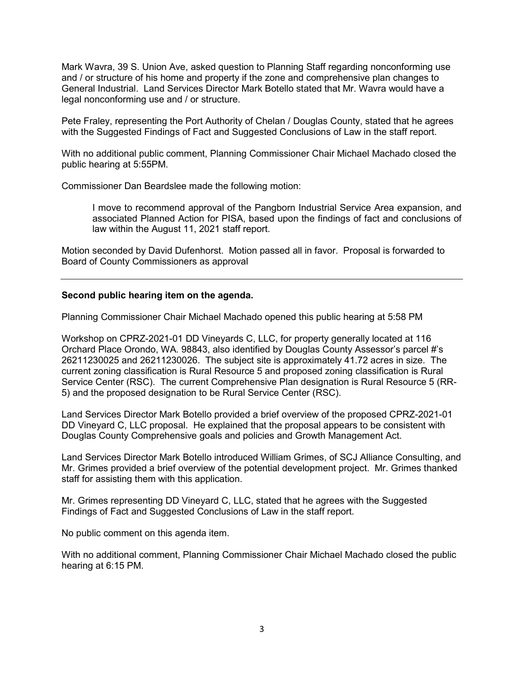Mark Wavra, 39 S. Union Ave, asked question to Planning Staff regarding nonconforming use and / or structure of his home and property if the zone and comprehensive plan changes to General Industrial. Land Services Director Mark Botello stated that Mr. Wavra would have a legal nonconforming use and / or structure.

Pete Fraley, representing the Port Authority of Chelan / Douglas County, stated that he agrees with the Suggested Findings of Fact and Suggested Conclusions of Law in the staff report.

With no additional public comment, Planning Commissioner Chair Michael Machado closed the public hearing at 5:55PM.

Commissioner Dan Beardslee made the following motion:

I move to recommend approval of the Pangborn Industrial Service Area expansion, and associated Planned Action for PISA, based upon the findings of fact and conclusions of law within the August 11, 2021 staff report.

Motion seconded by David Dufenhorst. Motion passed all in favor. Proposal is forwarded to Board of County Commissioners as approval

#### Second public hearing item on the agenda.

Planning Commissioner Chair Michael Machado opened this public hearing at 5:58 PM

Workshop on CPRZ-2021-01 DD Vineyards C, LLC, for property generally located at 116 Orchard Place Orondo, WA. 98843, also identified by Douglas County Assessor's parcel #'s 26211230025 and 26211230026. The subject site is approximately 41.72 acres in size. The current zoning classification is Rural Resource 5 and proposed zoning classification is Rural Service Center (RSC). The current Comprehensive Plan designation is Rural Resource 5 (RR-5) and the proposed designation to be Rural Service Center (RSC).

Land Services Director Mark Botello provided a brief overview of the proposed CPRZ-2021-01 DD Vineyard C, LLC proposal. He explained that the proposal appears to be consistent with Douglas County Comprehensive goals and policies and Growth Management Act.

Land Services Director Mark Botello introduced William Grimes, of SCJ Alliance Consulting, and Mr. Grimes provided a brief overview of the potential development project. Mr. Grimes thanked staff for assisting them with this application.

Mr. Grimes representing DD Vineyard C, LLC, stated that he agrees with the Suggested Findings of Fact and Suggested Conclusions of Law in the staff report.

No public comment on this agenda item.

With no additional comment, Planning Commissioner Chair Michael Machado closed the public hearing at 6:15 PM.